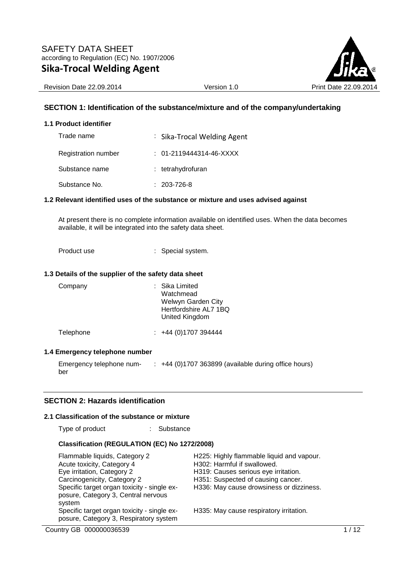

Revision Date 22.09.2014 Version 1.0 Version 1.0 Print Date 22

### **SECTION 1: Identification of the substance/mixture and of the company/undertaking**

#### **1.1 Product identifier**

| Trade name          | : Sika-Trocal Welding Agent |
|---------------------|-----------------------------|
| Registration number | $: 01-2119444314-46-XXXX$   |
| Substance name      | : tetrahydrofuran           |
| Substance No.       | $: 203 - 726 - 8$           |

#### **1.2 Relevant identified uses of the substance or mixture and uses advised against**

At present there is no complete information available on identified uses. When the data becomes available, it will be integrated into the safety data sheet.

Product use  $\qquad \qquad :$  Special system.

#### **1.3 Details of the supplier of the safety data sheet**

| Company   | : Sika Limited<br>Watchmead<br>Welwyn Garden City<br>Hertfordshire AL7 1BQ<br>United Kingdom |
|-----------|----------------------------------------------------------------------------------------------|
| Telephone | $\div$ +44 (0)1707 394444                                                                    |

#### **1.4 Emergency telephone number**

Emergency telephone number : +44 (0)1707 363899 (available during office hours)

### **SECTION 2: Hazards identification**

#### **2.1 Classification of the substance or mixture**

Type of product : Substance

### **Classification (REGULATION (EC) No 1272/2008)**

| Flammable liquids, Category 2<br>Acute toxicity, Category 4<br>Eye irritation, Category 2<br>Carcinogenicity, Category 2<br>Specific target organ toxicity - single ex-<br>posure, Category 3, Central nervous<br>system | H225: Highly flammable liquid and vapour.<br>H302: Harmful if swallowed.<br>H319: Causes serious eye irritation.<br>H351: Suspected of causing cancer.<br>H336: May cause drowsiness or dizziness. |
|--------------------------------------------------------------------------------------------------------------------------------------------------------------------------------------------------------------------------|----------------------------------------------------------------------------------------------------------------------------------------------------------------------------------------------------|
| Specific target organ toxicity - single ex-<br>posure, Category 3, Respiratory system                                                                                                                                    | H335: May cause respiratory irritation.                                                                                                                                                            |

Country GB 000000036539 1/12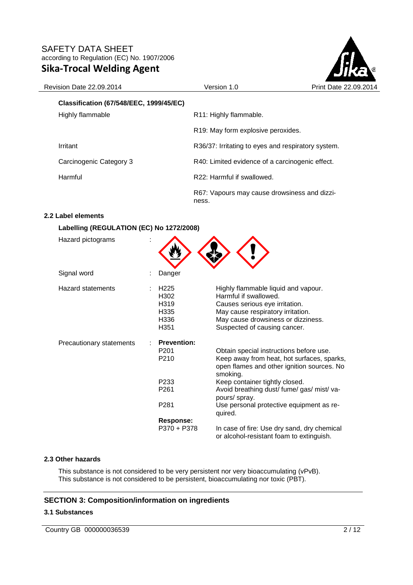

#### Revision Date 22.09.2014 Version 1.0 Version 1.0 Print Date 22

| <b>Classification (67/548/EEC, 1999/45/EC)</b> |                                                       |
|------------------------------------------------|-------------------------------------------------------|
| Highly flammable                               | R11: Highly flammable.                                |
|                                                | R <sub>19</sub> : May form explosive peroxides.       |
| Irritant                                       | R36/37: Irritating to eyes and respiratory system.    |
| Carcinogenic Category 3                        | R40: Limited evidence of a carcinogenic effect.       |
| Harmful                                        | R22: Harmful if swallowed.                            |
|                                                | R67: Vapours may cause drowsiness and dizzi-<br>ness. |

### **2.2 Label elements**

### **Labelling (REGULATION (EC) No 1272/2008)**

| Hazard pictograms        |                                                                                                    |                                                                                                                                                                                                                                 |
|--------------------------|----------------------------------------------------------------------------------------------------|---------------------------------------------------------------------------------------------------------------------------------------------------------------------------------------------------------------------------------|
| Signal word              | Danger                                                                                             |                                                                                                                                                                                                                                 |
| <b>Hazard statements</b> | H <sub>225</sub><br>H302<br>H319<br>H335<br>H336<br>H351                                           | Highly flammable liquid and vapour.<br>Harmful if swallowed.<br>Causes serious eye irritation.<br>May cause respiratory irritation.<br>May cause drowsiness or dizziness.<br>Suspected of causing cancer.                       |
| Precautionary statements | <b>Prevention:</b><br>P <sub>201</sub><br>P <sub>210</sub><br>P <sub>233</sub><br>P <sub>261</sub> | Obtain special instructions before use.<br>Keep away from heat, hot surfaces, sparks,<br>open flames and other ignition sources. No<br>smoking.<br>Keep container tightly closed.<br>Avoid breathing dust/ fume/ gas/ mist/ va- |
|                          | P <sub>281</sub>                                                                                   | pours/ spray.<br>Use personal protective equipment as re-<br>quired.                                                                                                                                                            |
|                          | Response:<br>P370 + P378                                                                           | In case of fire: Use dry sand, dry chemical<br>or alcohol-resistant foam to extinguish.                                                                                                                                         |

#### **2.3 Other hazards**

This substance is not considered to be very persistent nor very bioaccumulating (vPvB). This substance is not considered to be persistent, bioaccumulating nor toxic (PBT).

# **SECTION 3: Composition/information on ingredients**

### **3.1 Substances**

Country GB 000000036539 2/12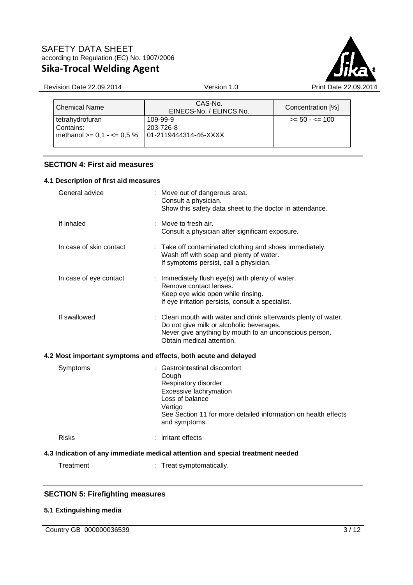

| <b>Revision Date 22.09.2014</b>             | Version 1.0                        | Print Date 22,09,2014 |
|---------------------------------------------|------------------------------------|-----------------------|
|                                             |                                    |                       |
| <b>Chemical Name</b>                        | CAS-No.<br>EINECS-No. / ELINCS No. | Concentration [%]     |
| tetrahydrofuran                             | 109-99-9                           | $>= 50 - 5 = 100$     |
| Contains:<br>methanol $>= 0.1 - \le 0.5 \%$ | 203-726-8<br>01-2119444314-46-XXXX |                       |

### **SECTION 4: First aid measures**

|                                                                 | 4.1 Description of first aid measures |                                                                                                                                                                                                           |  |  |  |  |
|-----------------------------------------------------------------|---------------------------------------|-----------------------------------------------------------------------------------------------------------------------------------------------------------------------------------------------------------|--|--|--|--|
| General advice                                                  |                                       | : Move out of dangerous area.<br>Consult a physician.<br>Show this safety data sheet to the doctor in attendance.                                                                                         |  |  |  |  |
| If inhaled                                                      |                                       | : Move to fresh air.<br>Consult a physician after significant exposure.                                                                                                                                   |  |  |  |  |
| In case of skin contact                                         |                                       | : Take off contaminated clothing and shoes immediately.<br>Wash off with soap and plenty of water.<br>If symptoms persist, call a physician.                                                              |  |  |  |  |
| In case of eye contact                                          |                                       | : Immediately flush eye(s) with plenty of water.<br>Remove contact lenses.<br>Keep eye wide open while rinsing.<br>If eye irritation persists, consult a specialist.                                      |  |  |  |  |
| If swallowed                                                    |                                       | : Clean mouth with water and drink afterwards plenty of water.<br>Do not give milk or alcoholic beverages.<br>Never give anything by mouth to an unconscious person.<br>Obtain medical attention.         |  |  |  |  |
| 4.2 Most important symptoms and effects, both acute and delayed |                                       |                                                                                                                                                                                                           |  |  |  |  |
| Symptoms                                                        |                                       | : Gastrointestinal discomfort<br>Cough<br>Respiratory disorder<br>Excessive lachrymation<br>Loss of balance<br>Vertigo<br>See Section 11 for more detailed information on health effects<br>and symptoms. |  |  |  |  |
| <b>Risks</b>                                                    |                                       | : irritant effects                                                                                                                                                                                        |  |  |  |  |
|                                                                 |                                       | 4.3 Indication of any immediate medical attention and special treatment needed                                                                                                                            |  |  |  |  |
| Treatment                                                       |                                       | : Treat symptomatically.                                                                                                                                                                                  |  |  |  |  |

# **SECTION 5: Firefighting measures**

# **5.1 Extinguishing media**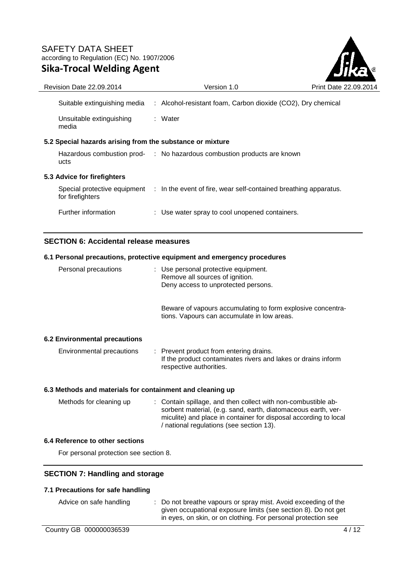

| Revision Date 22.09.2014                                  | Version 1.0                                                                                   | Print Date 22,09,2014 |
|-----------------------------------------------------------|-----------------------------------------------------------------------------------------------|-----------------------|
| Suitable extinguishing media                              | : Alcohol-resistant foam, Carbon dioxide (CO2), Dry chemical                                  |                       |
| Unsuitable extinguishing<br>media                         | : Water                                                                                       |                       |
| 5.2 Special hazards arising from the substance or mixture |                                                                                               |                       |
| ucts                                                      | Hazardous combustion prod- : No hazardous combustion products are known                       |                       |
| 5.3 Advice for firefighters                               |                                                                                               |                       |
| for firefighters                                          | Special protective equipment : In the event of fire, wear self-contained breathing apparatus. |                       |
| Further information                                       | : Use water spray to cool unopened containers.                                                |                       |
|                                                           |                                                                                               |                       |

## **SECTION 6: Accidental release measures**

### **6.1 Personal precautions, protective equipment and emergency procedures**

| Personal precautions                                      | : Use personal protective equipment.<br>Remove all sources of ignition.<br>Deny access to unprotected persons.                                                                                                                                 |
|-----------------------------------------------------------|------------------------------------------------------------------------------------------------------------------------------------------------------------------------------------------------------------------------------------------------|
|                                                           | Beware of vapours accumulating to form explosive concentra-<br>tions. Vapours can accumulate in low areas.                                                                                                                                     |
| 6.2 Environmental precautions                             |                                                                                                                                                                                                                                                |
| Environmental precautions                                 | : Prevent product from entering drains.<br>If the product contaminates rivers and lakes or drains inform<br>respective authorities.                                                                                                            |
| 6.3 Methods and materials for containment and cleaning up |                                                                                                                                                                                                                                                |
| Methods for cleaning up                                   | : Contain spillage, and then collect with non-combustible ab-<br>sorbent material, (e.g. sand, earth, diatomaceous earth, ver-<br>miculite) and place in container for disposal according to local<br>/ national regulations (see section 13). |
| 6.4 Reference to other sections                           |                                                                                                                                                                                                                                                |
| For personal protection see section 8.                    |                                                                                                                                                                                                                                                |

### **SECTION 7: Handling and storage**

### **7.1 Precautions for safe handling**

: Do not breathe vapours or spray mist. Avoid exceeding of the given occupational exposure limits (see section 8). Do not get in eyes, on skin, or on clothing. For personal protection see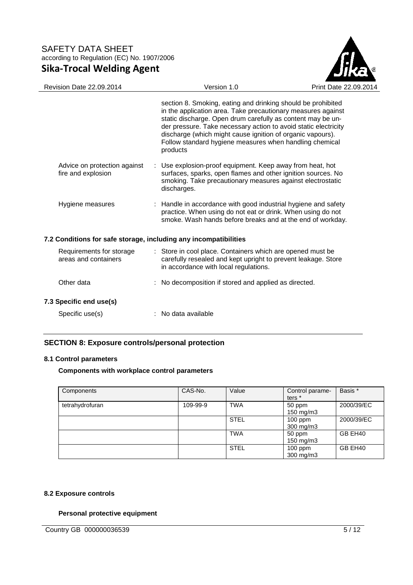

| <b>Revision Date 22.09.2014</b>                                  | Version 1.0                                                                                                                                                                                                                                                                                                                                                                                         | Print Date 22.09.2 |
|------------------------------------------------------------------|-----------------------------------------------------------------------------------------------------------------------------------------------------------------------------------------------------------------------------------------------------------------------------------------------------------------------------------------------------------------------------------------------------|--------------------|
|                                                                  | section 8. Smoking, eating and drinking should be prohibited<br>in the application area. Take precautionary measures against<br>static discharge. Open drum carefully as content may be un-<br>der pressure. Take necessary action to avoid static electricity<br>discharge (which might cause ignition of organic vapours).<br>Follow standard hygiene measures when handling chemical<br>products |                    |
| Advice on protection against<br>fire and explosion               | Use explosion-proof equipment. Keep away from heat, hot<br>surfaces, sparks, open flames and other ignition sources. No<br>smoking. Take precautionary measures against electrostatic<br>discharges.                                                                                                                                                                                                |                    |
| Hygiene measures                                                 | : Handle in accordance with good industrial hygiene and safety<br>practice. When using do not eat or drink. When using do not<br>smoke. Wash hands before breaks and at the end of workday.                                                                                                                                                                                                         |                    |
| 7.2 Conditions for safe storage, including any incompatibilities |                                                                                                                                                                                                                                                                                                                                                                                                     |                    |
| Requirements for storage<br>areas and containers                 | : Store in cool place. Containers which are opened must be<br>carefully resealed and kept upright to prevent leakage. Store<br>in accordance with local regulations.                                                                                                                                                                                                                                |                    |
| Other data                                                       | No decomposition if stored and applied as directed.                                                                                                                                                                                                                                                                                                                                                 |                    |
| 7.3 Specific end use(s)                                          |                                                                                                                                                                                                                                                                                                                                                                                                     |                    |
| Specific use(s)                                                  | No data available                                                                                                                                                                                                                                                                                                                                                                                   |                    |

# **SECTION 8: Exposure controls/personal protection**

### **8.1 Control parameters**

### **Components with workplace control parameters**

| Components      | CAS-No.  | Value       | Control parame-<br>ters <sup>*</sup> | Basis *    |
|-----------------|----------|-------------|--------------------------------------|------------|
| tetrahydrofuran | 109-99-9 | <b>TWA</b>  | 50 ppm<br>150 mg/m3                  | 2000/39/EC |
|                 |          | <b>STEL</b> | $100$ ppm<br>300 mg/m3               | 2000/39/EC |
|                 |          | <b>TWA</b>  | 50 ppm<br>150 mg/m $3$               | GB EH40    |
|                 |          | <b>STEL</b> | $100$ ppm<br>300 mg/m3               | GB EH40    |

#### **8.2 Exposure controls**

### **Personal protective equipment**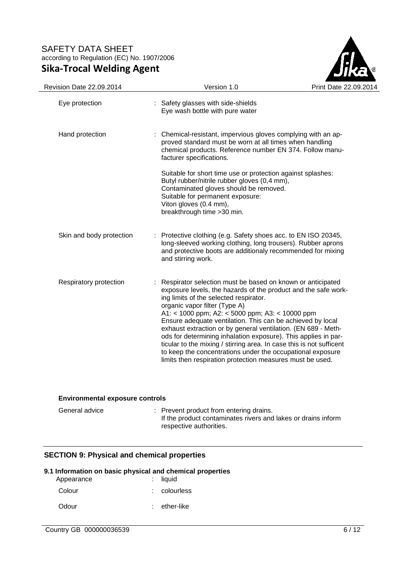

| Revision Date 22.09.2014 | Version 1.0                                                                                                                                                                                                                                                                                                                                                                                                                                                                                                                                                                                                                                                    | Print Date 22.09.2014 |
|--------------------------|----------------------------------------------------------------------------------------------------------------------------------------------------------------------------------------------------------------------------------------------------------------------------------------------------------------------------------------------------------------------------------------------------------------------------------------------------------------------------------------------------------------------------------------------------------------------------------------------------------------------------------------------------------------|-----------------------|
| Eye protection           | : Safety glasses with side-shields<br>Eye wash bottle with pure water                                                                                                                                                                                                                                                                                                                                                                                                                                                                                                                                                                                          |                       |
| Hand protection          | : Chemical-resistant, impervious gloves complying with an ap-<br>proved standard must be worn at all times when handling<br>chemical products. Reference number EN 374. Follow manu-<br>facturer specifications.                                                                                                                                                                                                                                                                                                                                                                                                                                               |                       |
|                          | Suitable for short time use or protection against splashes:<br>Butyl rubber/nitrile rubber gloves (0,4 mm),<br>Contaminated gloves should be removed.<br>Suitable for permanent exposure:<br>Viton gloves (0.4 mm),<br>breakthrough time > 30 min.                                                                                                                                                                                                                                                                                                                                                                                                             |                       |
| Skin and body protection | : Protective clothing (e.g. Safety shoes acc. to EN ISO 20345,<br>long-sleeved working clothing, long trousers). Rubber aprons<br>and protective boots are additionaly recommended for mixing<br>and stirring work.                                                                                                                                                                                                                                                                                                                                                                                                                                            |                       |
| Respiratory protection   | Respirator selection must be based on known or anticipated<br>exposure levels, the hazards of the product and the safe work-<br>ing limits of the selected respirator.<br>organic vapor filter (Type A)<br>A1: < 1000 ppm; A2: < 5000 ppm; A3: < 10000 ppm<br>Ensure adequate ventilation. This can be achieved by local<br>exhaust extraction or by general ventilation. (EN 689 - Meth-<br>ods for determining inhalation exposure). This applies in par-<br>ticular to the mixing / stirring area. In case this is not sufficent<br>to keep the concentrations under the occupational exposure<br>limits then respiration protection measures must be used. |                       |

#### **Environmental exposure controls**

| General advice | : Prevent product from entering drains.                       |
|----------------|---------------------------------------------------------------|
|                | If the product contaminates rivers and lakes or drains inform |
|                | respective authorities.                                       |

## **SECTION 9: Physical and chemical properties**

#### **9.1 Information on basic physical and chemical properties**

| Appearance | $:$ liquid     |
|------------|----------------|
| Colour     | $:$ colourless |
| Odour      | ether-like     |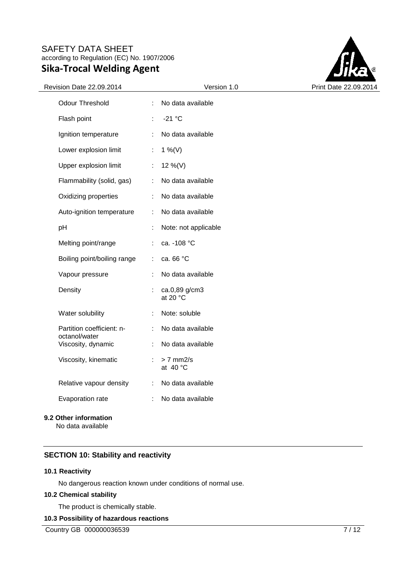

| Revision Date 22.09.2014                        | Version 1.0               | Print Date 22.09.2014 |
|-------------------------------------------------|---------------------------|-----------------------|
| Odour Threshold                                 | No data available<br>÷    |                       |
| Flash point                                     | $-21$ °C<br>÷             |                       |
| Ignition temperature                            | No data available         |                       |
| Lower explosion limit                           | 1 %(V)<br>÷.              |                       |
| Upper explosion limit                           | 12 %(V)<br>÷              |                       |
| Flammability (solid, gas)                       | No data available<br>÷    |                       |
| Oxidizing properties                            | No data available<br>÷    |                       |
| Auto-ignition temperature<br>÷                  | No data available         |                       |
| pH                                              | Note: not applicable      |                       |
| Melting point/range                             | ca. - 108 °C              |                       |
| Boiling point/boiling range                     | ca. 66 °C<br>÷.           |                       |
| Vapour pressure                                 | No data available         |                       |
| Density                                         | ca.0,89 g/cm3<br>at 20 °C |                       |
| Water solubility                                | Note: soluble             |                       |
| Partition coefficient: n-<br>÷<br>octanol/water | No data available         |                       |
| Viscosity, dynamic                              | No data available         |                       |
| Viscosity, kinematic                            | $> 7$ mm2/s<br>at $40 °C$ |                       |
| Relative vapour density<br>÷                    | No data available         |                       |
| Evaporation rate<br>÷                           | No data available         |                       |
|                                                 |                           |                       |

### **9.2 Other information**

No data available

## **SECTION 10: Stability and reactivity**

### **10.1 Reactivity**

No dangerous reaction known under conditions of normal use.

### **10.2 Chemical stability**

The product is chemically stable.

## **10.3 Possibility of hazardous reactions**

Country GB 000000036539 7/12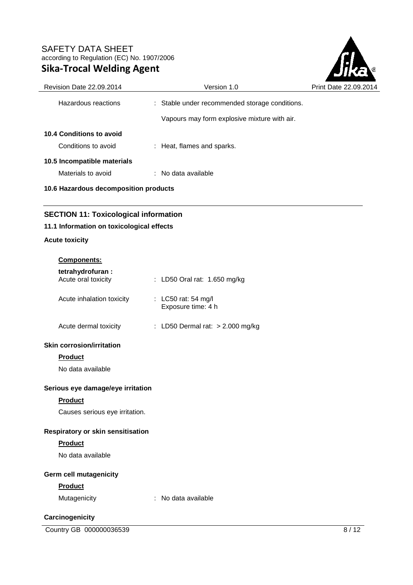

| Revision Date 22.09.2014              | Version 1.0                                    | Print Date 22,09,2014 |
|---------------------------------------|------------------------------------------------|-----------------------|
| Hazardous reactions                   | : Stable under recommended storage conditions. |                       |
|                                       | Vapours may form explosive mixture with air.   |                       |
| 10.4 Conditions to avoid              |                                                |                       |
| Conditions to avoid                   | : Heat, flames and sparks.                     |                       |
| 10.5 Incompatible materials           |                                                |                       |
| Materials to avoid                    | $:$ No data available                          |                       |
| 10.6 Hazardous decomposition products |                                                |                       |
|                                       |                                                |                       |
|                                       |                                                |                       |

# **SECTION 11: Toxicological information**

## **11.1 Information on toxicological effects**

## **Acute toxicity**

| <u>Components:</u>                      |                                           |
|-----------------------------------------|-------------------------------------------|
| tetrahydrofuran:<br>Acute oral toxicity | : LD50 Oral rat: 1.650 mg/kg              |
| Acute inhalation toxicity               | : LC50 rat: 54 mg/l<br>Exposure time: 4 h |
| Acute dermal toxicity                   | : LD50 Dermal rat: $> 2.000$ mg/kg        |
| <b>Skin corrosion/irritation</b>        |                                           |
| <b>Product</b>                          |                                           |
| No data available                       |                                           |
| Serious eye damage/eye irritation       |                                           |
| <b>Product</b>                          |                                           |
| Causes serious eye irritation.          |                                           |
| Respiratory or skin sensitisation       |                                           |
| <b>Product</b>                          |                                           |
| No data available                       |                                           |
| Germ cell mutagenicity                  |                                           |
| <b>Product</b>                          |                                           |
| Mutagenicity                            | No data available                         |

## **Carcinogenicity**

Country GB 000000036539 8 / 12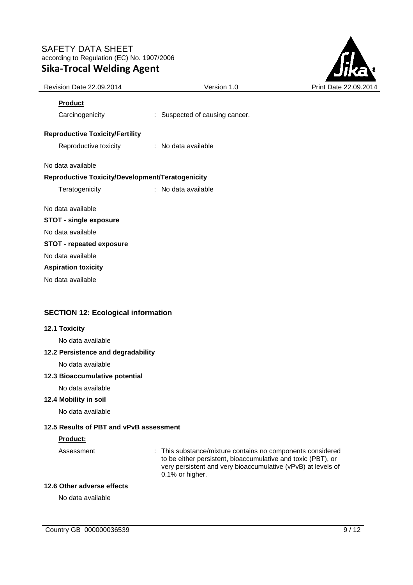

| Revision Date 22.09.2014                         | Version 1.0                    | Print Date 22.09.20 |
|--------------------------------------------------|--------------------------------|---------------------|
| <b>Product</b>                                   |                                |                     |
| Carcinogenicity                                  | : Suspected of causing cancer. |                     |
| <b>Reproductive Toxicity/Fertility</b>           |                                |                     |
| Reproductive toxicity                            | : No data available            |                     |
| No data available                                |                                |                     |
| Reproductive Toxicity/Development/Teratogenicity |                                |                     |
| Teratogenicity                                   | : No data available            |                     |
| No data available                                |                                |                     |
| <b>STOT - single exposure</b>                    |                                |                     |
| No data available                                |                                |                     |
| <b>STOT - repeated exposure</b>                  |                                |                     |
| No data available                                |                                |                     |
| <b>Aspiration toxicity</b>                       |                                |                     |
| No data available                                |                                |                     |
|                                                  |                                |                     |

## **SECTION 12: Ecological information**

#### **12.1 Toxicity**

No data available

#### **12.2 Persistence and degradability**

No data available

### **12.3 Bioaccumulative potential**

No data available

#### **12.4 Mobility in soil**

No data available

### **12.5 Results of PBT and vPvB assessment**

## **Product:**

Assessment : This substance/mixture contains no components considered to be either persistent, bioaccumulative and toxic (PBT), or very persistent and very bioaccumulative (vPvB) at levels of 0.1% or higher.

#### **12.6 Other adverse effects**

No data available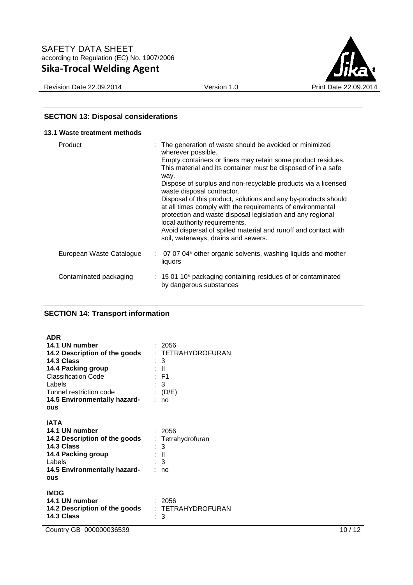

**13.1 Waste treatment methods** 

# **SECTION 13: Disposal considerations**

| Product                  | : The generation of waste should be avoided or minimized<br>wherever possible.<br>Empty containers or liners may retain some product residues.<br>This material and its container must be disposed of in a safe<br>way.<br>Dispose of surplus and non-recyclable products via a licensed<br>waste disposal contractor.<br>Disposal of this product, solutions and any by-products should<br>at all times comply with the requirements of environmental<br>protection and waste disposal legislation and any regional<br>local authority requirements.<br>Avoid dispersal of spilled material and runoff and contact with<br>soil, waterways, drains and sewers. |  |
|--------------------------|-----------------------------------------------------------------------------------------------------------------------------------------------------------------------------------------------------------------------------------------------------------------------------------------------------------------------------------------------------------------------------------------------------------------------------------------------------------------------------------------------------------------------------------------------------------------------------------------------------------------------------------------------------------------|--|
| European Waste Catalogue | $\sim$ 07 07 04* other organic solvents, washing liquids and mother<br>liquors                                                                                                                                                                                                                                                                                                                                                                                                                                                                                                                                                                                  |  |
| Contaminated packaging   | $\therefore$ 15 01 10* packaging containing residues of or contaminated<br>by dangerous substances                                                                                                                                                                                                                                                                                                                                                                                                                                                                                                                                                              |  |

# **SECTION 14: Transport information**

| <b>ADR</b><br>14.1 UN number<br>14.2 Description of the goods<br>14.3 Class<br>14.4 Packing group<br><b>Classification Code</b><br>Labels<br>Tunnel restriction code<br>14.5 Environmentally hazard-<br>ous |                      | : 2056<br>: TETRAHYDROFURAN<br>3<br>: II<br>: F1<br>$\therefore$ 3<br>(D/E)<br>no |
|-------------------------------------------------------------------------------------------------------------------------------------------------------------------------------------------------------------|----------------------|-----------------------------------------------------------------------------------|
| IATA<br>14.1 UN number<br>14.2 Description of the goods<br>14.3 Class<br>14.4 Packing group<br>Labels<br>14.5 Environmentally hazard-<br>ous                                                                | $\ddot{\phantom{a}}$ | : 2056<br>Tetrahydrofuran<br>: 3<br>: II<br>: 3<br>no                             |
| <b>IMDG</b><br>14.1 UN number<br>14.2 Description of the goods<br>14.3 Class                                                                                                                                |                      | : 2056<br>: TETRAHYDROFURAN<br>3                                                  |

Country GB 000000036539 10 / 12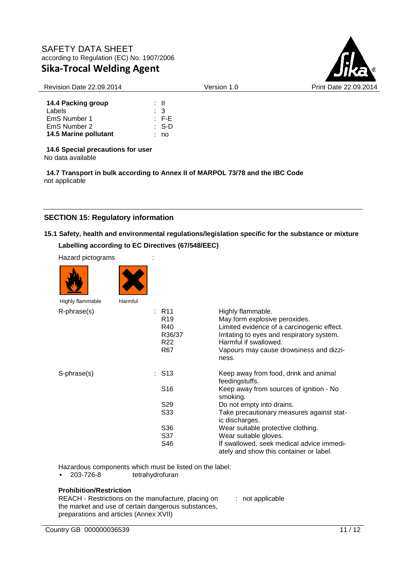

#### Revision Date 22.09.2014 Version 1.0 Print Date 22.09.2014

| 14.4 Packing group    | : II      |
|-----------------------|-----------|
| Labels                | : 3       |
| EmS Number 1          | $\pm$ F-E |
| EmS Number 2          | ∴ S-D     |
| 14.5 Marine pollutant | no        |

**14.6 Special precautions for user**

No data available

**14.7 Transport in bulk according to Annex II of MARPOL 73/78 and the IBC Code** not applicable

## **SECTION 15: Regulatory information**

# **15.1 Safety, health and environmental regulations/legislation specific for the substance or mixture Labelling according to EC Directives (67/548/EEC)**

| Hazard pictograms |         |                                                                     |                                                                                                                                                                                                                             |
|-------------------|---------|---------------------------------------------------------------------|-----------------------------------------------------------------------------------------------------------------------------------------------------------------------------------------------------------------------------|
|                   |         |                                                                     |                                                                                                                                                                                                                             |
| Highly flammable  | Harmful |                                                                     |                                                                                                                                                                                                                             |
| R-phrase(s)       |         | : R11<br>R <sub>19</sub><br>R40<br>R36/37<br>R <sub>22</sub><br>R67 | Highly flammable.<br>May form explosive peroxides.<br>Limited evidence of a carcinogenic effect.<br>Irritating to eyes and respiratory system.<br>Harmful if swallowed.<br>Vapours may cause drowsiness and dizzi-<br>ness. |
| S-phrase(s)       |         | $:$ S13                                                             | Keep away from food, drink and animal<br>feedingstuffs.                                                                                                                                                                     |
|                   |         | S <sub>16</sub>                                                     | Keep away from sources of ignition - No<br>smoking.                                                                                                                                                                         |
|                   |         | S <sub>29</sub>                                                     | Do not empty into drains.                                                                                                                                                                                                   |
|                   |         | S33                                                                 | Take precautionary measures against stat-<br>ic discharges.                                                                                                                                                                 |
|                   |         | S36                                                                 | Wear suitable protective clothing.                                                                                                                                                                                          |
|                   |         | S37                                                                 | Wear suitable gloves.                                                                                                                                                                                                       |
|                   |         | S46                                                                 | If swallowed, seek medical advice immedi-<br>ately and show this container or label.                                                                                                                                        |

Hazardous components which must be listed on the label:<br>• 203-726-8 tetrahydrofuran

tetrahydrofuran

### **Prohibition/Restriction**

REACH - Restrictions on the manufacture, placing on the market and use of certain dangerous substances, preparations and articles (Annex XVII)

: not applicable